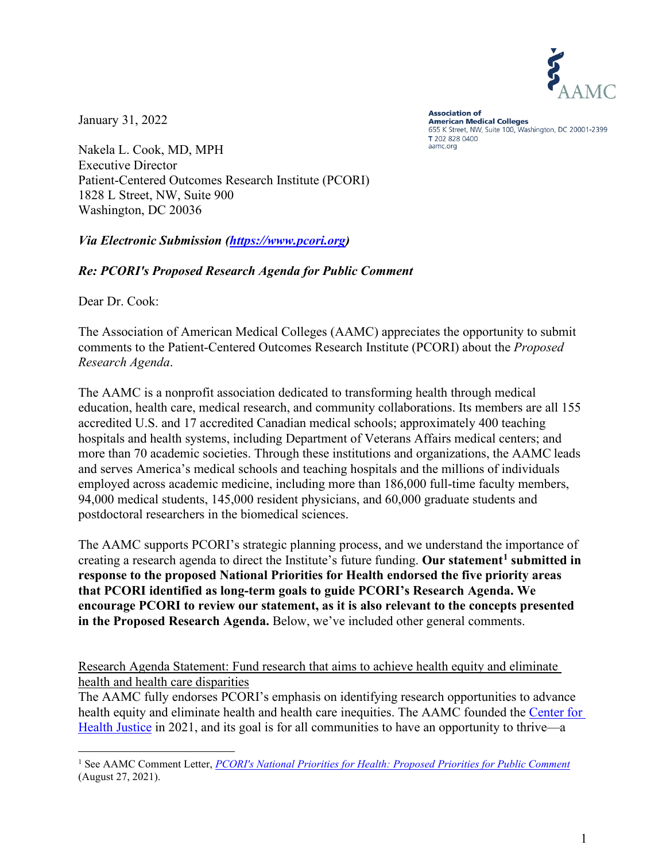

January 31, 2022

**Association of American Medical Colleges** 655 K Street, NW, Suite 100, Washington, DC 20001-2399 T 202 828 0400 aamc.org

Nakela L. Cook, MD, MPH Executive Director Patient-Centered Outcomes Research Institute (PCORI) 1828 L Street, NW, Suite 900 Washington, DC 20036

*Via Electronic Submission [\(https://www.pcori.org\)](https://www.pcori.org/webform/pcoris-national-priorities-health-proposed-priorities-public-comment)*

## *Re: PCORI's Proposed Research Agenda for Public Comment*

Dear Dr. Cook:

The Association of American Medical Colleges (AAMC) appreciates the opportunity to submit comments to the Patient-Centered Outcomes Research Institute (PCORI) about the *Proposed Research Agenda*.

The AAMC is a nonprofit association dedicated to transforming health through medical education, health care, medical research, and community collaborations. Its members are all 155 accredited U.S. and 17 accredited Canadian medical schools; approximately 400 teaching hospitals and health systems, including Department of Veterans Affairs medical centers; and more than 70 academic societies. Through these institutions and organizations, the AAMC leads and serves America's medical schools and teaching hospitals and the millions of individuals employed across academic medicine, including more than 186,000 full-time faculty members, 94,000 medical students, 145,000 resident physicians, and 60,000 graduate students and postdoctoral researchers in the biomedical sciences.

The AAMC supports PCORI's strategic planning process, and we understand the importance of creating a research agenda to direct the Institute's future funding. **Our statement[1](#page-0-0) submitted in response to the proposed National Priorities for Health endorsed the five priority areas that PCORI identified as long-term goals to guide PCORI's Research Agenda. We encourage PCORI to review our statement, as it is also relevant to the concepts presented in the Proposed Research Agenda.** Below, we've included other general comments.

Research Agenda Statement: Fund research that aims to achieve health equity and eliminate health and health care disparities

The AAMC fully endorses PCORI's emphasis on identifying research opportunities to advance health equity and eliminate health and health care inequities. The AAMC founded the [Center for](https://www.aamchealthjustice.org/)  [Health Justice](https://www.aamchealthjustice.org/) in 2021, and its goal is for all communities to have an opportunity to thrive—a

<span id="page-0-0"></span><sup>1</sup> See AAMC Comment Letter, *[PCORI's National Priorities for Health: Proposed Priorities for Public Comment](https://www.aamc.org/media/56026/download?attachment)* (August 27, 2021).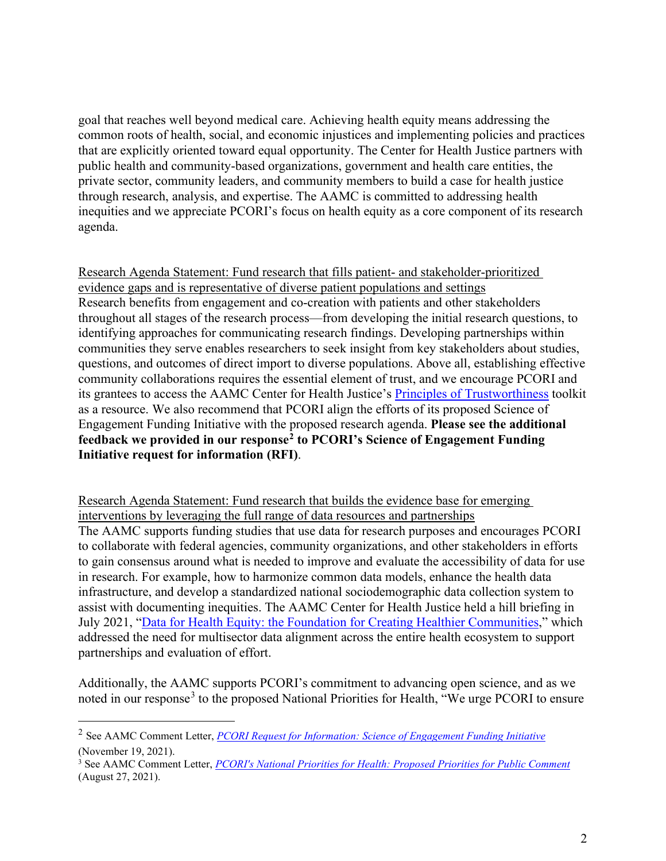goal that reaches well beyond medical care. Achieving health equity means addressing the common roots of health, social, and economic injustices and implementing policies and practices that are explicitly oriented toward equal opportunity. The Center for Health Justice partners with public health and community-based organizations, government and health care entities, the private sector, community leaders, and community members to build a case for health justice through research, analysis, and expertise. The AAMC is committed to addressing health inequities and we appreciate PCORI's focus on health equity as a core component of its research agenda.

Research Agenda Statement: Fund research that fills patient- and stakeholder-prioritized evidence gaps and is representative of diverse patient populations and settings Research benefits from engagement and co-creation with patients and other stakeholders throughout all stages of the research process—from developing the initial research questions, to identifying approaches for communicating research findings. Developing partnerships within communities they serve enables researchers to seek insight from key stakeholders about studies, questions, and outcomes of direct import to diverse populations. Above all, establishing effective community collaborations requires the essential element of trust, and we encourage PCORI and its grantees to access the AAMC Center for Health Justice's [Principles of Trustworthiness](https://www.aamchealthjustice.org/resources/trustworthiness-toolkit) toolkit as a resource. We also recommend that PCORI align the efforts of its proposed Science of Engagement Funding Initiative with the proposed research agenda. **Please see the additional feedback we provided in our response[2](#page-1-0) to PCORI's Science of Engagement Funding Initiative request for information (RFI)**.

Research Agenda Statement: Fund research that builds the evidence base for emerging interventions by leveraging the full range of data resources and partnerships The AAMC supports funding studies that use data for research purposes and encourages PCORI to collaborate with federal agencies, community organizations, and other stakeholders in efforts to gain consensus around what is needed to improve and evaluate the accessibility of data for use in research. For example, how to harmonize common data models, enhance the health data infrastructure, and develop a standardized national sociodemographic data collection system to assist with documenting inequities. The AAMC Center for Health Justice held a hill briefing in July 2021, ["Data for Health Equity: the Foundation for Creating Healthier Communities,](https://www.youtube.com/watch?v=opRWK08DIsI)" which addressed the need for multisector data alignment across the entire health ecosystem to support partnerships and evaluation of effort.

Additionally, the AAMC supports PCORI's commitment to advancing open science, and as we noted in our response<sup>[3](#page-1-1)</sup> to the proposed National Priorities for Health, "We urge PCORI to ensure

<span id="page-1-0"></span><sup>2</sup> See AAMC Comment Letter, *[PCORI Request for Information: Science of Engagement Funding Initiative](https://www.aamc.org/media/57681/download)* (November 19, 2021).

<span id="page-1-1"></span><sup>3</sup> See AAMC Comment Letter, *[PCORI's National Priorities for Health: Proposed Priorities for Public Comment](https://www.aamc.org/media/56026/download?attachment)* (August 27, 2021).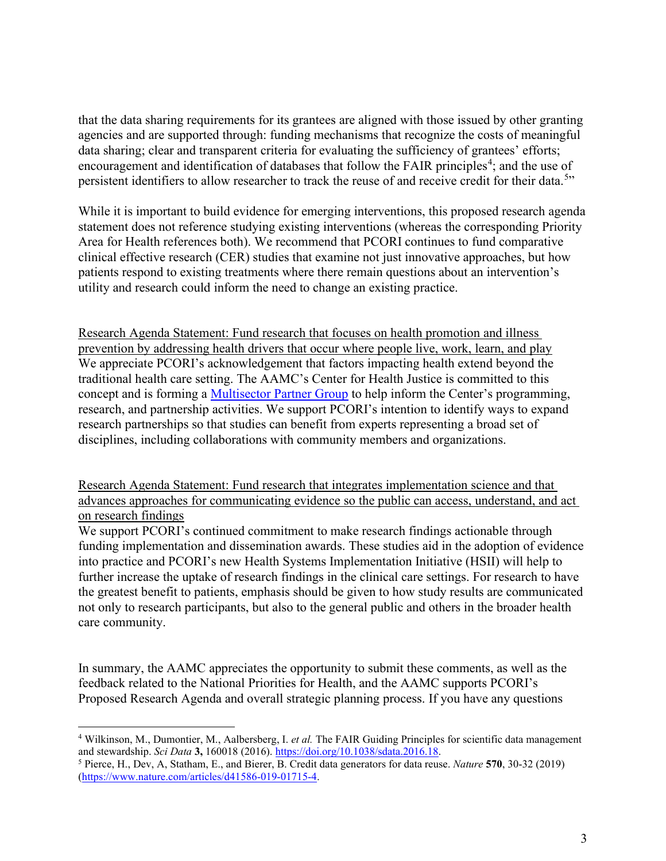that the data sharing requirements for its grantees are aligned with those issued by other granting agencies and are supported through: funding mechanisms that recognize the costs of meaningful data sharing; clear and transparent criteria for evaluating the sufficiency of grantees' efforts; encouragement and identification of databases that follow the FAIR principles<sup>[4](#page-2-0)</sup>; and the use of persistent identifiers to allow researcher to track the reuse of and receive credit for their data.<sup>[5](#page-2-1)</sup>"

While it is important to build evidence for emerging interventions, this proposed research agenda statement does not reference studying existing interventions (whereas the corresponding Priority Area for Health references both). We recommend that PCORI continues to fund comparative clinical effective research (CER) studies that examine not just innovative approaches, but how patients respond to existing treatments where there remain questions about an intervention's utility and research could inform the need to change an existing practice.

Research Agenda Statement: Fund research that focuses on health promotion and illness prevention by addressing health drivers that occur where people live, work, learn, and play We appreciate PCORI's acknowledgement that factors impacting health extend beyond the traditional health care setting. The AAMC's Center for Health Justice is committed to this concept and is forming a [Multisector Partner Group](https://www.aamchealthjustice.org/all-health-equity) to help inform the Center's programming, research, and partnership activities. We support PCORI's intention to identify ways to expand research partnerships so that studies can benefit from experts representing a broad set of disciplines, including collaborations with community members and organizations.

Research Agenda Statement: Fund research that integrates implementation science and that advances approaches for communicating evidence so the public can access, understand, and act on research findings

We support PCORI's continued commitment to make research findings actionable through funding implementation and dissemination awards. These studies aid in the adoption of evidence into practice and PCORI's new Health Systems Implementation Initiative (HSII) will help to further increase the uptake of research findings in the clinical care settings. For research to have the greatest benefit to patients, emphasis should be given to how study results are communicated not only to research participants, but also to the general public and others in the broader health care community.

In summary, the AAMC appreciates the opportunity to submit these comments, as well as the feedback related to the National Priorities for Health, and the AAMC supports PCORI's Proposed Research Agenda and overall strategic planning process. If you have any questions

<span id="page-2-0"></span><sup>4</sup> Wilkinson, M., Dumontier, M., Aalbersberg, I. *et al.* The FAIR Guiding Principles for scientific data management and stewardship. *Sci Data* **3,** 160018 (2016). [https://doi.org/10.1038/sdata.2016.18.](https://doi.org/10.1038/sdata.2016.18)

<span id="page-2-1"></span><sup>5</sup> Pierce, H., Dev, A, Statham, E., and Bierer, B. Credit data generators for data reuse. *Nature* **570**, 30-32 (2019) [\(https://www.nature.com/articles/d41586-019-01715-4.](https://www.nature.com/articles/d41586-019-01715-4)